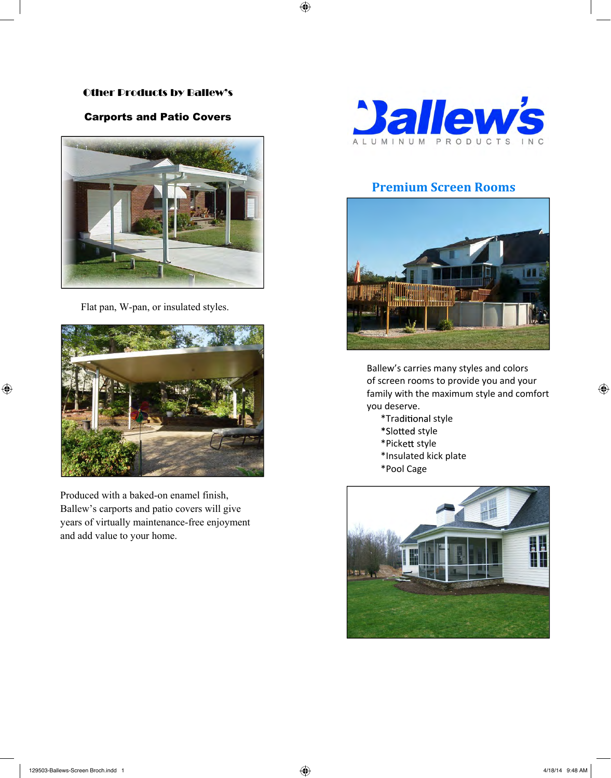# Other Products by Ballew's Other Products by Ballew's

# Carports and Patio Covers Carports and Patio Covers



Flat pan, W-pan, or insulated styles. Flat pan, W-pan, or insulated styles.



Produced with a baked-on enamel finish, Produced with a baked-on enamel finish, Ballew's carports and patio covers will give Ballew's carports and patio covers will give years of virtually maintenance-free enjoyment years of virtually maintenance-free enjoyment and add value to your home. and add value to your home.



# **Premium Screen Rooms Premium Screen Rooms**



Ballew's carries many styles and colors Ballew's carries many styles and colors of screen rooms to provide you and your of screen rooms to provide you and your family with the maximum style and comfort you deserve.  $\mathcal{Y}$ 

- \*Traditional style
	- \*Slotted style
- \*Pick style \*Pick style
	- \*Insulated kick plate kick plate
	- \*Pool Cage